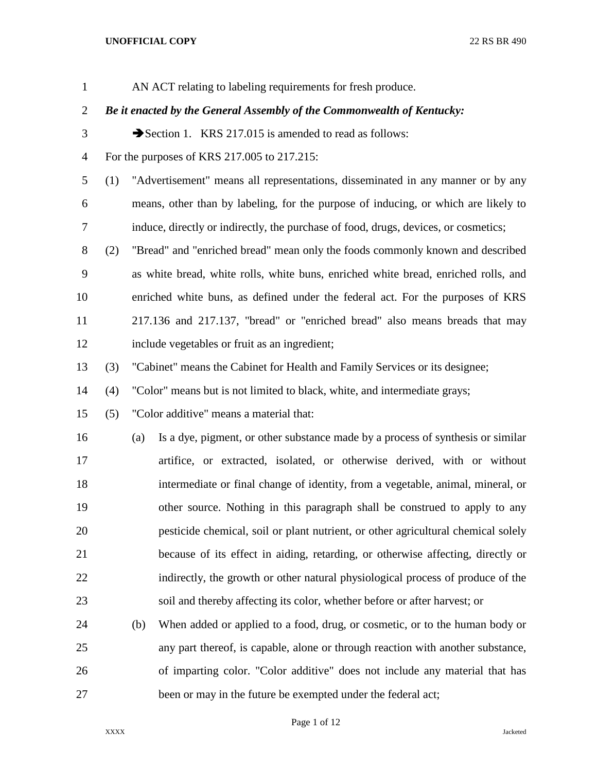| $\mathbf{1}$   |     |     | AN ACT relating to labeling requirements for fresh produce.                         |
|----------------|-----|-----|-------------------------------------------------------------------------------------|
| $\overline{2}$ |     |     | Be it enacted by the General Assembly of the Commonwealth of Kentucky:              |
| 3              |     |     | Section 1. KRS 217.015 is amended to read as follows:                               |
| $\overline{4}$ |     |     | For the purposes of KRS 217.005 to 217.215:                                         |
| 5              | (1) |     | "Advertisement" means all representations, disseminated in any manner or by any     |
| 6              |     |     | means, other than by labeling, for the purpose of inducing, or which are likely to  |
| 7              |     |     | induce, directly or indirectly, the purchase of food, drugs, devices, or cosmetics; |
| $8\,$          | (2) |     | "Bread" and "enriched bread" mean only the foods commonly known and described       |
| 9              |     |     | as white bread, white rolls, white buns, enriched white bread, enriched rolls, and  |
| 10             |     |     | enriched white buns, as defined under the federal act. For the purposes of KRS      |
| 11             |     |     | 217.136 and 217.137, "bread" or "enriched bread" also means breads that may         |
| 12             |     |     | include vegetables or fruit as an ingredient;                                       |
| 13             | (3) |     | "Cabinet" means the Cabinet for Health and Family Services or its designee;         |
| 14             | (4) |     | "Color" means but is not limited to black, white, and intermediate grays;           |
| 15             | (5) |     | "Color additive" means a material that:                                             |
| 16             |     | (a) | Is a dye, pigment, or other substance made by a process of synthesis or similar     |
| 17             |     |     | artifice, or extracted, isolated, or otherwise derived, with or without             |
| 18             |     |     | intermediate or final change of identity, from a vegetable, animal, mineral, or     |
| 19             |     |     | other source. Nothing in this paragraph shall be construed to apply to any          |
| 20             |     |     | pesticide chemical, soil or plant nutrient, or other agricultural chemical solely   |
| 21             |     |     | because of its effect in aiding, retarding, or otherwise affecting, directly or     |
| 22             |     |     | indirectly, the growth or other natural physiological process of produce of the     |
| 23             |     |     | soil and thereby affecting its color, whether before or after harvest; or           |
| 24             |     | (b) | When added or applied to a food, drug, or cosmetic, or to the human body or         |
| 25             |     |     | any part thereof, is capable, alone or through reaction with another substance,     |
| 26             |     |     | of imparting color. "Color additive" does not include any material that has         |
| 27             |     |     | been or may in the future be exempted under the federal act;                        |

Page 1 of 12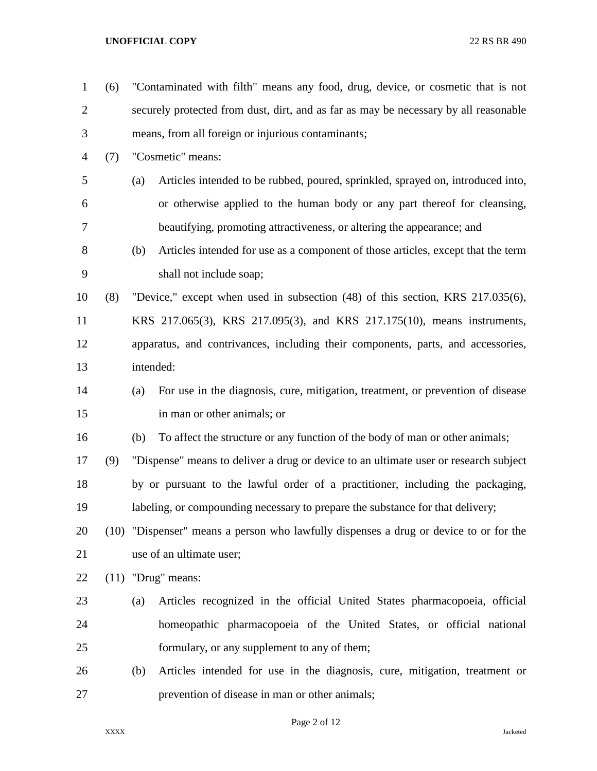| $\mathbf{1}$   | (6) |           | "Contaminated with filth" means any food, drug, device, or cosmetic that is not       |
|----------------|-----|-----------|---------------------------------------------------------------------------------------|
| $\overline{2}$ |     |           | securely protected from dust, dirt, and as far as may be necessary by all reasonable  |
| 3              |     |           | means, from all foreign or injurious contaminants;                                    |
| 4              | (7) |           | "Cosmetic" means:                                                                     |
| 5              |     | (a)       | Articles intended to be rubbed, poured, sprinkled, sprayed on, introduced into,       |
| 6              |     |           | or otherwise applied to the human body or any part thereof for cleansing,             |
| 7              |     |           | beautifying, promoting attractiveness, or altering the appearance; and                |
| 8              |     | (b)       | Articles intended for use as a component of those articles, except that the term      |
| 9              |     |           | shall not include soap;                                                               |
| 10             | (8) |           | "Device," except when used in subsection (48) of this section, KRS 217.035(6),        |
| 11             |     |           | KRS 217.065(3), KRS 217.095(3), and KRS 217.175(10), means instruments,               |
| 12             |     |           | apparatus, and contrivances, including their components, parts, and accessories,      |
| 13             |     | intended: |                                                                                       |
| 14             |     | (a)       | For use in the diagnosis, cure, mitigation, treatment, or prevention of disease       |
| 15             |     |           | in man or other animals; or                                                           |
| 16             |     | (b)       | To affect the structure or any function of the body of man or other animals;          |
| 17             | (9) |           | "Dispense" means to deliver a drug or device to an ultimate user or research subject  |
| 18             |     |           | by or pursuant to the lawful order of a practitioner, including the packaging,        |
| 19             |     |           | labeling, or compounding necessary to prepare the substance for that delivery;        |
| 20             |     |           | (10) "Dispenser" means a person who lawfully dispenses a drug or device to or for the |
| 21             |     |           | use of an ultimate user;                                                              |
| 22             |     |           | $(11)$ "Drug" means:                                                                  |
| 23             |     | (a)       | Articles recognized in the official United States pharmacopoeia, official             |
| 24             |     |           | homeopathic pharmacopoeia of the United States, or official national                  |
| 25             |     |           | formulary, or any supplement to any of them;                                          |
| 26             |     | (b)       | Articles intended for use in the diagnosis, cure, mitigation, treatment or            |
| 27             |     |           | prevention of disease in man or other animals;                                        |

Page 2 of 12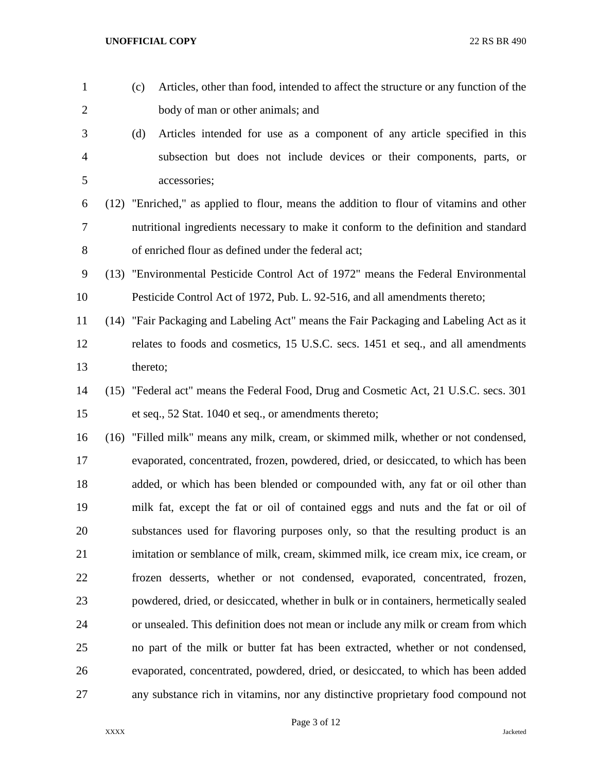(c) Articles, other than food, intended to affect the structure or any function of the body of man or other animals; and (d) Articles intended for use as a component of any article specified in this subsection but does not include devices or their components, parts, or accessories; (12) "Enriched," as applied to flour, means the addition to flour of vitamins and other nutritional ingredients necessary to make it conform to the definition and standard of enriched flour as defined under the federal act; (13) "Environmental Pesticide Control Act of 1972" means the Federal Environmental Pesticide Control Act of 1972, Pub. L. 92-516, and all amendments thereto; (14) "Fair Packaging and Labeling Act" means the Fair Packaging and Labeling Act as it relates to foods and cosmetics, 15 U.S.C. secs. 1451 et seq., and all amendments thereto; (15) "Federal act" means the Federal Food, Drug and Cosmetic Act, 21 U.S.C. secs. 301 et seq., 52 Stat. 1040 et seq., or amendments thereto; (16) "Filled milk" means any milk, cream, or skimmed milk, whether or not condensed, evaporated, concentrated, frozen, powdered, dried, or desiccated, to which has been added, or which has been blended or compounded with, any fat or oil other than milk fat, except the fat or oil of contained eggs and nuts and the fat or oil of substances used for flavoring purposes only, so that the resulting product is an imitation or semblance of milk, cream, skimmed milk, ice cream mix, ice cream, or frozen desserts, whether or not condensed, evaporated, concentrated, frozen, powdered, dried, or desiccated, whether in bulk or in containers, hermetically sealed or unsealed. This definition does not mean or include any milk or cream from which no part of the milk or butter fat has been extracted, whether or not condensed, evaporated, concentrated, powdered, dried, or desiccated, to which has been added any substance rich in vitamins, nor any distinctive proprietary food compound not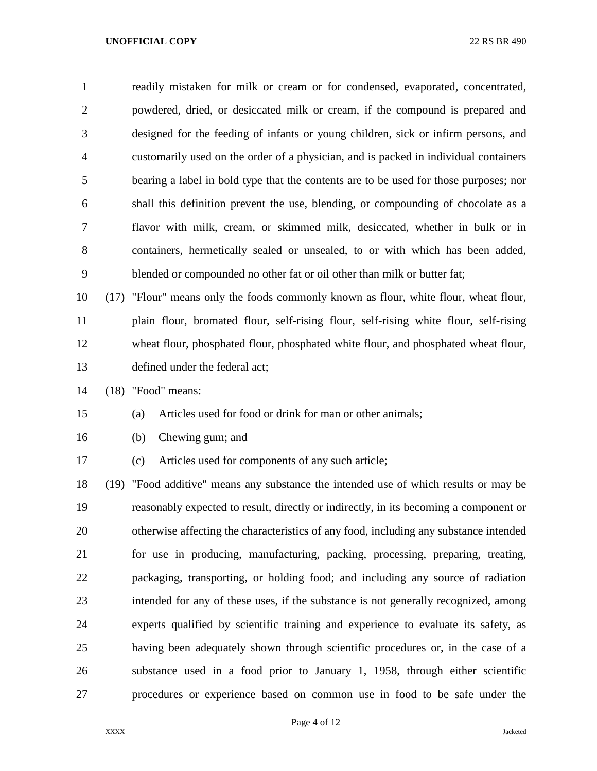readily mistaken for milk or cream or for condensed, evaporated, concentrated, powdered, dried, or desiccated milk or cream, if the compound is prepared and designed for the feeding of infants or young children, sick or infirm persons, and customarily used on the order of a physician, and is packed in individual containers bearing a label in bold type that the contents are to be used for those purposes; nor shall this definition prevent the use, blending, or compounding of chocolate as a flavor with milk, cream, or skimmed milk, desiccated, whether in bulk or in containers, hermetically sealed or unsealed, to or with which has been added, blended or compounded no other fat or oil other than milk or butter fat;

 (17) "Flour" means only the foods commonly known as flour, white flour, wheat flour, plain flour, bromated flour, self-rising flour, self-rising white flour, self-rising wheat flour, phosphated flour, phosphated white flour, and phosphated wheat flour, defined under the federal act;

(18) "Food" means:

## (a) Articles used for food or drink for man or other animals;

- (b) Chewing gum; and
- (c) Articles used for components of any such article;

 (19) "Food additive" means any substance the intended use of which results or may be reasonably expected to result, directly or indirectly, in its becoming a component or otherwise affecting the characteristics of any food, including any substance intended for use in producing, manufacturing, packing, processing, preparing, treating, packaging, transporting, or holding food; and including any source of radiation intended for any of these uses, if the substance is not generally recognized, among experts qualified by scientific training and experience to evaluate its safety, as having been adequately shown through scientific procedures or, in the case of a substance used in a food prior to January 1, 1958, through either scientific procedures or experience based on common use in food to be safe under the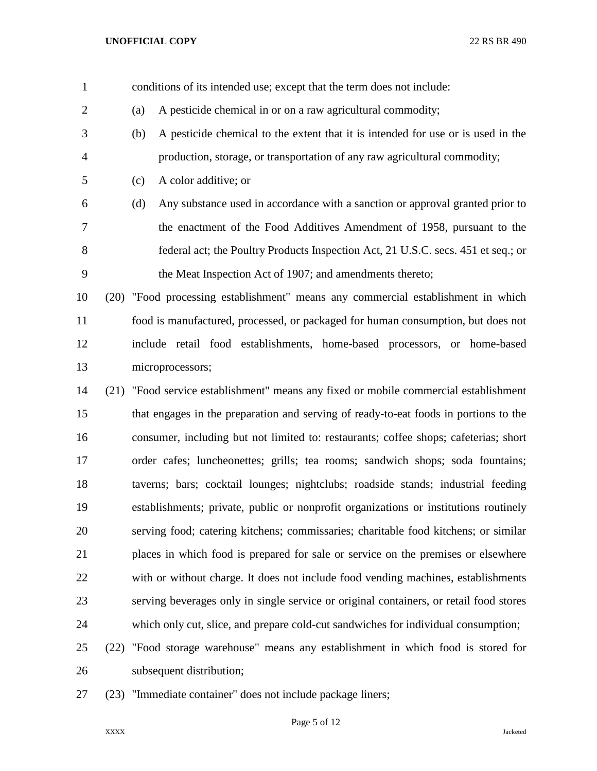- conditions of its intended use; except that the term does not include: (a) A pesticide chemical in or on a raw agricultural commodity; (b) A pesticide chemical to the extent that it is intended for use or is used in the production, storage, or transportation of any raw agricultural commodity; (c) A color additive; or (d) Any substance used in accordance with a sanction or approval granted prior to the enactment of the Food Additives Amendment of 1958, pursuant to the federal act; the Poultry Products Inspection Act, 21 U.S.C. secs. 451 et seq.; or the Meat Inspection Act of 1907; and amendments thereto;
- (20) "Food processing establishment" means any commercial establishment in which food is manufactured, processed, or packaged for human consumption, but does not include retail food establishments, home-based processors, or home-based microprocessors;
- (21) "Food service establishment" means any fixed or mobile commercial establishment that engages in the preparation and serving of ready-to-eat foods in portions to the consumer, including but not limited to: restaurants; coffee shops; cafeterias; short order cafes; luncheonettes; grills; tea rooms; sandwich shops; soda fountains; taverns; bars; cocktail lounges; nightclubs; roadside stands; industrial feeding establishments; private, public or nonprofit organizations or institutions routinely serving food; catering kitchens; commissaries; charitable food kitchens; or similar places in which food is prepared for sale or service on the premises or elsewhere with or without charge. It does not include food vending machines, establishments serving beverages only in single service or original containers, or retail food stores which only cut, slice, and prepare cold-cut sandwiches for individual consumption;
- (22) "Food storage warehouse" means any establishment in which food is stored for subsequent distribution;
- (23) "Immediate container" does not include package liners;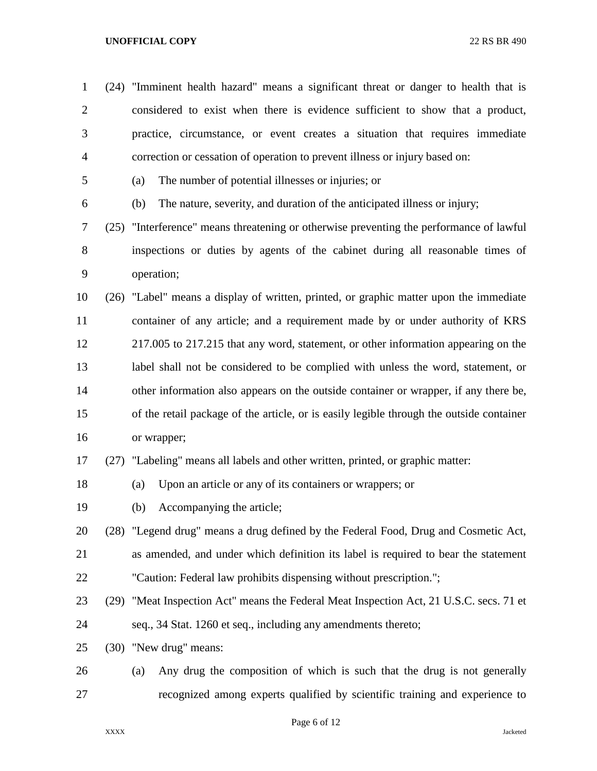| $\mathbf{1}$   | (24) | "Imminent health hazard" means a significant threat or danger to health that is          |
|----------------|------|------------------------------------------------------------------------------------------|
| $\overline{2}$ |      | considered to exist when there is evidence sufficient to show that a product,            |
| 3              |      | practice, circumstance, or event creates a situation that requires immediate             |
| $\overline{4}$ |      | correction or cessation of operation to prevent illness or injury based on:              |
| 5              |      | The number of potential illnesses or injuries; or<br>(a)                                 |
| 6              |      | The nature, severity, and duration of the anticipated illness or injury;<br>(b)          |
| 7              |      | (25) "Interference" means threatening or otherwise preventing the performance of lawful  |
| 8              |      | inspections or duties by agents of the cabinet during all reasonable times of            |
| 9              |      | operation;                                                                               |
| 10             | (26) | "Label" means a display of written, printed, or graphic matter upon the immediate        |
| 11             |      | container of any article; and a requirement made by or under authority of KRS            |
| 12             |      | 217.005 to 217.215 that any word, statement, or other information appearing on the       |
| 13             |      | label shall not be considered to be complied with unless the word, statement, or         |
| 14             |      | other information also appears on the outside container or wrapper, if any there be,     |
| 15             |      | of the retail package of the article, or is easily legible through the outside container |
| 16             |      | or wrapper;                                                                              |
| 17             |      | (27) "Labeling" means all labels and other written, printed, or graphic matter:          |
| 18             |      | Upon an article or any of its containers or wrappers; or<br>(a)                          |
| 19             |      | Accompanying the article;<br>(b)                                                         |
| 20             |      | (28) "Legend drug" means a drug defined by the Federal Food, Drug and Cosmetic Act,      |
| 21             |      | as amended, and under which definition its label is required to bear the statement       |
| 22             |      | "Caution: Federal law prohibits dispensing without prescription.";                       |
| 23             |      | (29) "Meat Inspection Act" means the Federal Meat Inspection Act, 21 U.S.C. secs. 71 et  |
| 24             |      | seq., 34 Stat. 1260 et seq., including any amendments thereto;                           |
| 25             |      | (30) "New drug" means:                                                                   |
| 26             |      | Any drug the composition of which is such that the drug is not generally<br>(a)          |
| 27             |      | recognized among experts qualified by scientific training and experience to              |

Page 6 of 12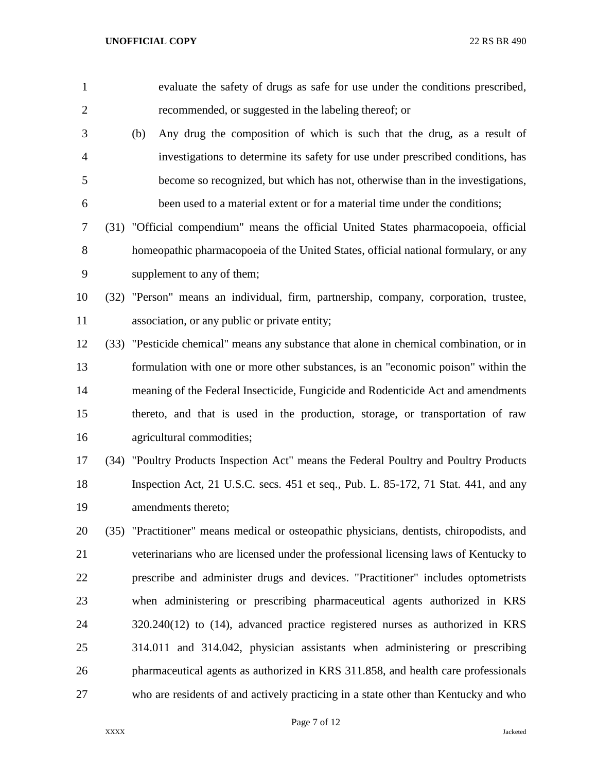| $\mathbf{1}$   |      | evaluate the safety of drugs as safe for use under the conditions prescribed,            |
|----------------|------|------------------------------------------------------------------------------------------|
| $\overline{2}$ |      | recommended, or suggested in the labeling thereof; or                                    |
| 3              |      | Any drug the composition of which is such that the drug, as a result of<br>(b)           |
| $\overline{4}$ |      | investigations to determine its safety for use under prescribed conditions, has          |
| 5              |      | become so recognized, but which has not, otherwise than in the investigations,           |
| 6              |      | been used to a material extent or for a material time under the conditions;              |
| 7              |      | (31) "Official compendium" means the official United States pharmacopoeia, official      |
| 8              |      | homeopathic pharmacopoeia of the United States, official national formulary, or any      |
| 9              |      | supplement to any of them;                                                               |
| 10             | (32) | "Person" means an individual, firm, partnership, company, corporation, trustee,          |
| 11             |      | association, or any public or private entity;                                            |
| 12             |      | (33) "Pesticide chemical" means any substance that alone in chemical combination, or in  |
| 13             |      | formulation with one or more other substances, is an "economic poison" within the        |
| 14             |      | meaning of the Federal Insecticide, Fungicide and Rodenticide Act and amendments         |
| 15             |      | thereto, and that is used in the production, storage, or transportation of raw           |
| 16             |      | agricultural commodities;                                                                |
| 17             | (34) | "Poultry Products Inspection Act" means the Federal Poultry and Poultry Products         |
| 18             |      | Inspection Act, 21 U.S.C. secs. 451 et seq., Pub. L. 85-172, 71 Stat. 441, and any       |
| 19             |      | amendments thereto;                                                                      |
| 20             |      | (35) "Practitioner" means medical or osteopathic physicians, dentists, chiropodists, and |
| 21             |      | veterinarians who are licensed under the professional licensing laws of Kentucky to      |
| 22             |      | prescribe and administer drugs and devices. "Practitioner" includes optometrists         |
| 23             |      | when administering or prescribing pharmaceutical agents authorized in KRS                |
| 24             |      | $320.240(12)$ to $(14)$ , advanced practice registered nurses as authorized in KRS       |
| 25             |      | 314.011 and 314.042, physician assistants when administering or prescribing              |
| 26             |      | pharmaceutical agents as authorized in KRS 311.858, and health care professionals        |
| 27             |      | who are residents of and actively practicing in a state other than Kentucky and who      |

Page 7 of 12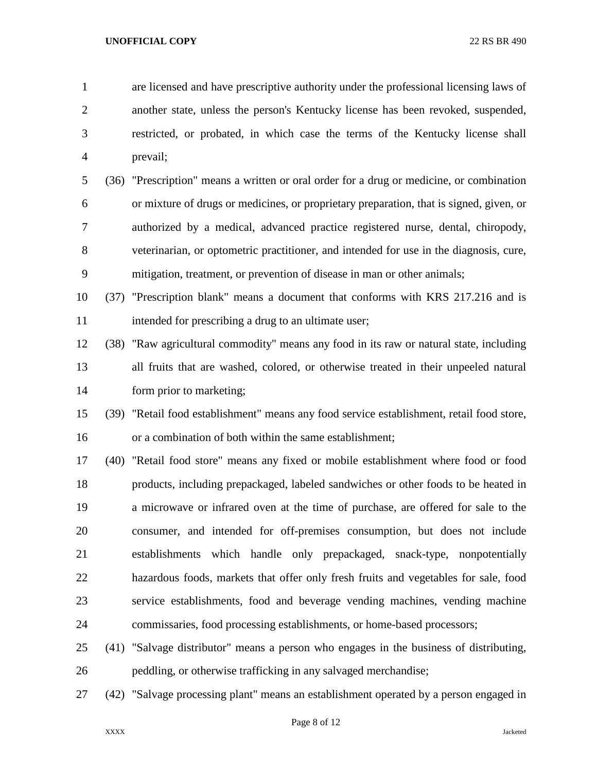are licensed and have prescriptive authority under the professional licensing laws of another state, unless the person's Kentucky license has been revoked, suspended, restricted, or probated, in which case the terms of the Kentucky license shall prevail;

 (36) "Prescription" means a written or oral order for a drug or medicine, or combination or mixture of drugs or medicines, or proprietary preparation, that is signed, given, or authorized by a medical, advanced practice registered nurse, dental, chiropody, veterinarian, or optometric practitioner, and intended for use in the diagnosis, cure, mitigation, treatment, or prevention of disease in man or other animals;

 (37) "Prescription blank" means a document that conforms with KRS 217.216 and is 11 intended for prescribing a drug to an ultimate user;

 (38) "Raw agricultural commodity" means any food in its raw or natural state, including all fruits that are washed, colored, or otherwise treated in their unpeeled natural form prior to marketing;

 (39) "Retail food establishment" means any food service establishment, retail food store, or a combination of both within the same establishment;

 (40) "Retail food store" means any fixed or mobile establishment where food or food products, including prepackaged, labeled sandwiches or other foods to be heated in a microwave or infrared oven at the time of purchase, are offered for sale to the consumer, and intended for off-premises consumption, but does not include establishments which handle only prepackaged, snack-type, nonpotentially hazardous foods, markets that offer only fresh fruits and vegetables for sale, food service establishments, food and beverage vending machines, vending machine commissaries, food processing establishments, or home-based processors;

- (41) "Salvage distributor" means a person who engages in the business of distributing, peddling, or otherwise trafficking in any salvaged merchandise;
- (42) "Salvage processing plant" means an establishment operated by a person engaged in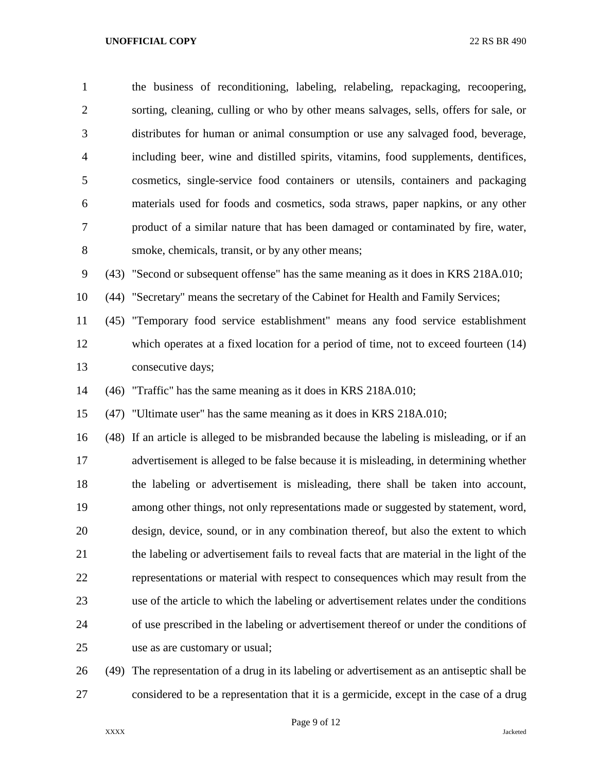the business of reconditioning, labeling, relabeling, repackaging, recoopering, sorting, cleaning, culling or who by other means salvages, sells, offers for sale, or distributes for human or animal consumption or use any salvaged food, beverage, including beer, wine and distilled spirits, vitamins, food supplements, dentifices, cosmetics, single-service food containers or utensils, containers and packaging materials used for foods and cosmetics, soda straws, paper napkins, or any other product of a similar nature that has been damaged or contaminated by fire, water, smoke, chemicals, transit, or by any other means; (43) "Second or subsequent offense" has the same meaning as it does in KRS 218A.010; (44) "Secretary" means the secretary of the Cabinet for Health and Family Services; (45) "Temporary food service establishment" means any food service establishment which operates at a fixed location for a period of time, not to exceed fourteen (14) consecutive days; (46) "Traffic" has the same meaning as it does in KRS 218A.010; (47) "Ultimate user" has the same meaning as it does in KRS 218A.010; (48) If an article is alleged to be misbranded because the labeling is misleading, or if an advertisement is alleged to be false because it is misleading, in determining whether the labeling or advertisement is misleading, there shall be taken into account, among other things, not only representations made or suggested by statement, word, design, device, sound, or in any combination thereof, but also the extent to which the labeling or advertisement fails to reveal facts that are material in the light of the representations or material with respect to consequences which may result from the use of the article to which the labeling or advertisement relates under the conditions of use prescribed in the labeling or advertisement thereof or under the conditions of use as are customary or usual;

 (49) The representation of a drug in its labeling or advertisement as an antiseptic shall be considered to be a representation that it is a germicide, except in the case of a drug

Page 9 of 12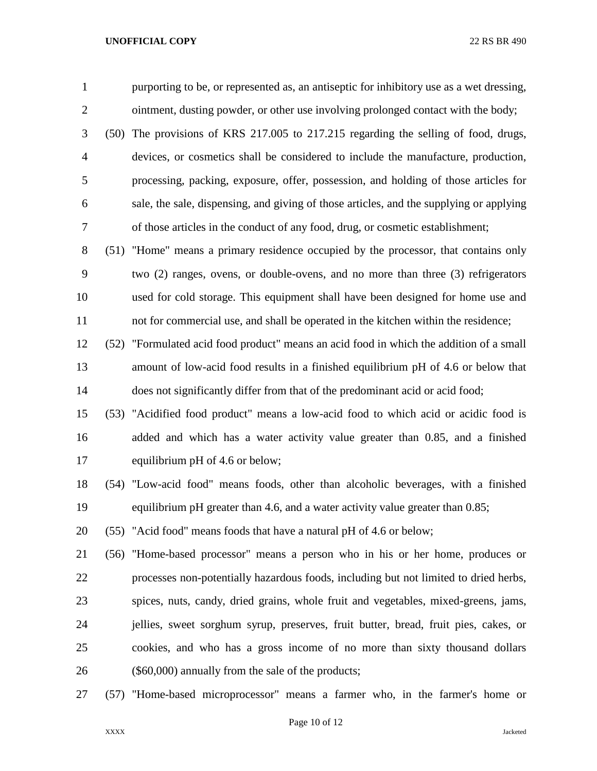purporting to be, or represented as, an antiseptic for inhibitory use as a wet dressing, ointment, dusting powder, or other use involving prolonged contact with the body;

 (50) The provisions of KRS 217.005 to 217.215 regarding the selling of food, drugs, devices, or cosmetics shall be considered to include the manufacture, production, processing, packing, exposure, offer, possession, and holding of those articles for sale, the sale, dispensing, and giving of those articles, and the supplying or applying of those articles in the conduct of any food, drug, or cosmetic establishment;

 (51) "Home" means a primary residence occupied by the processor, that contains only two (2) ranges, ovens, or double-ovens, and no more than three (3) refrigerators used for cold storage. This equipment shall have been designed for home use and not for commercial use, and shall be operated in the kitchen within the residence;

 (52) "Formulated acid food product" means an acid food in which the addition of a small amount of low-acid food results in a finished equilibrium pH of 4.6 or below that does not significantly differ from that of the predominant acid or acid food;

 (53) "Acidified food product" means a low-acid food to which acid or acidic food is added and which has a water activity value greater than 0.85, and a finished equilibrium pH of 4.6 or below;

 (54) "Low-acid food" means foods, other than alcoholic beverages, with a finished equilibrium pH greater than 4.6, and a water activity value greater than 0.85;

(55) "Acid food" means foods that have a natural pH of 4.6 or below;

 (56) "Home-based processor" means a person who in his or her home, produces or processes non-potentially hazardous foods, including but not limited to dried herbs, spices, nuts, candy, dried grains, whole fruit and vegetables, mixed-greens, jams, jellies, sweet sorghum syrup, preserves, fruit butter, bread, fruit pies, cakes, or cookies, and who has a gross income of no more than sixty thousand dollars (\$60,000) annually from the sale of the products;

(57) "Home-based microprocessor" means a farmer who, in the farmer's home or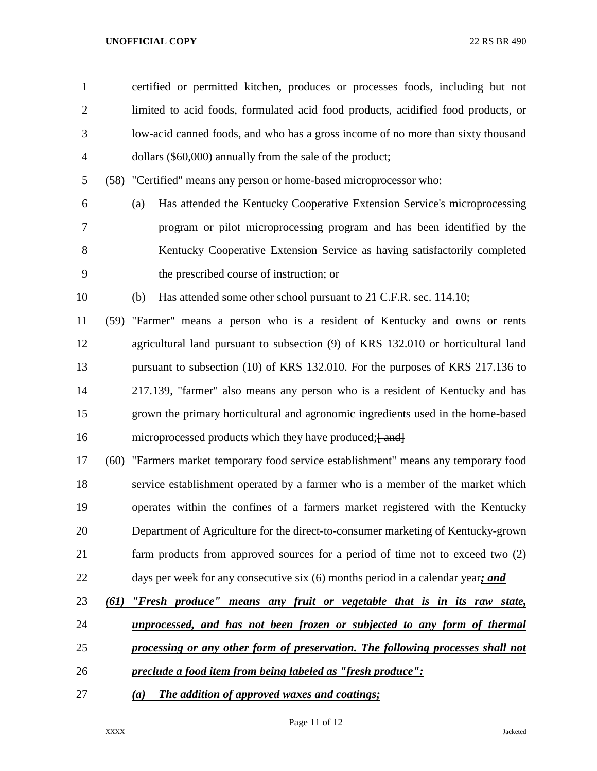| $\mathbf{1}$   |      | certified or permitted kitchen, produces or processes foods, including but not      |
|----------------|------|-------------------------------------------------------------------------------------|
| $\overline{2}$ |      | limited to acid foods, formulated acid food products, acidified food products, or   |
| 3              |      | low-acid canned foods, and who has a gross income of no more than sixty thousand    |
| $\overline{4}$ |      | dollars (\$60,000) annually from the sale of the product;                           |
| 5              |      | (58) "Certified" means any person or home-based microprocessor who:                 |
| 6              |      | Has attended the Kentucky Cooperative Extension Service's microprocessing<br>(a)    |
| $\overline{7}$ |      | program or pilot microprocessing program and has been identified by the             |
| 8              |      | Kentucky Cooperative Extension Service as having satisfactorily completed           |
| 9              |      | the prescribed course of instruction; or                                            |
| 10             |      | Has attended some other school pursuant to 21 C.F.R. sec. 114.10;<br>(b)            |
| 11             |      | (59) "Farmer" means a person who is a resident of Kentucky and owns or rents        |
| 12             |      | agricultural land pursuant to subsection (9) of KRS 132.010 or horticultural land   |
| 13             |      | pursuant to subsection (10) of KRS 132.010. For the purposes of KRS 217.136 to      |
| 14             |      | 217.139, "farmer" also means any person who is a resident of Kentucky and has       |
| 15             |      | grown the primary horticultural and agronomic ingredients used in the home-based    |
| 16             |      | microprocessed products which they have produced; [ and]                            |
| 17             |      | (60) "Farmers market temporary food service establishment" means any temporary food |
| 18             |      | service establishment operated by a farmer who is a member of the market which      |
| 19             |      | operates within the confines of a farmers market registered with the Kentucky       |
| 20             |      | Department of Agriculture for the direct-to-consumer marketing of Kentucky-grown    |
| 21             |      | farm products from approved sources for a period of time not to exceed two (2)      |
| 22             |      | days per week for any consecutive six (6) months period in a calendar year; and     |
| 23             | (61) | "Fresh produce" means any fruit or vegetable that is in its raw state,              |
| 24             |      | unprocessed, and has not been frozen or subjected to any form of thermal            |
| 25             |      | processing or any other form of preservation. The following processes shall not     |
| 26             |      | preclude a food item from being labeled as "fresh produce":                         |
| 27             |      | The addition of approved waxes and coatings;<br>(a)                                 |

Page 11 of 12